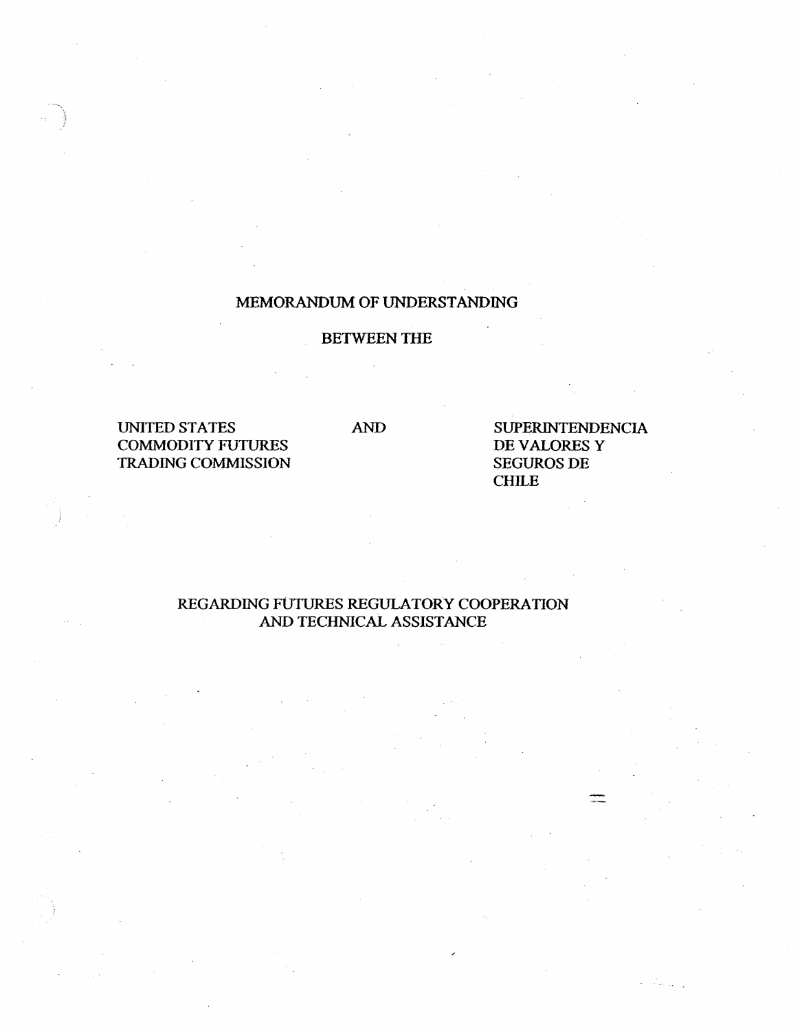# MEMORANDUM OF UNDERSTANDING

# BETWEEN THE

UNITED STATES COMMODITY FUTURES TRADING COMMISSION

AND SUPERINTENDENCIA DE VALORES Y SEGUROS DE CHILE

# REGARDING FUTURES REGULATORY COOPERATION AND TECHNICAL ASSISTANCE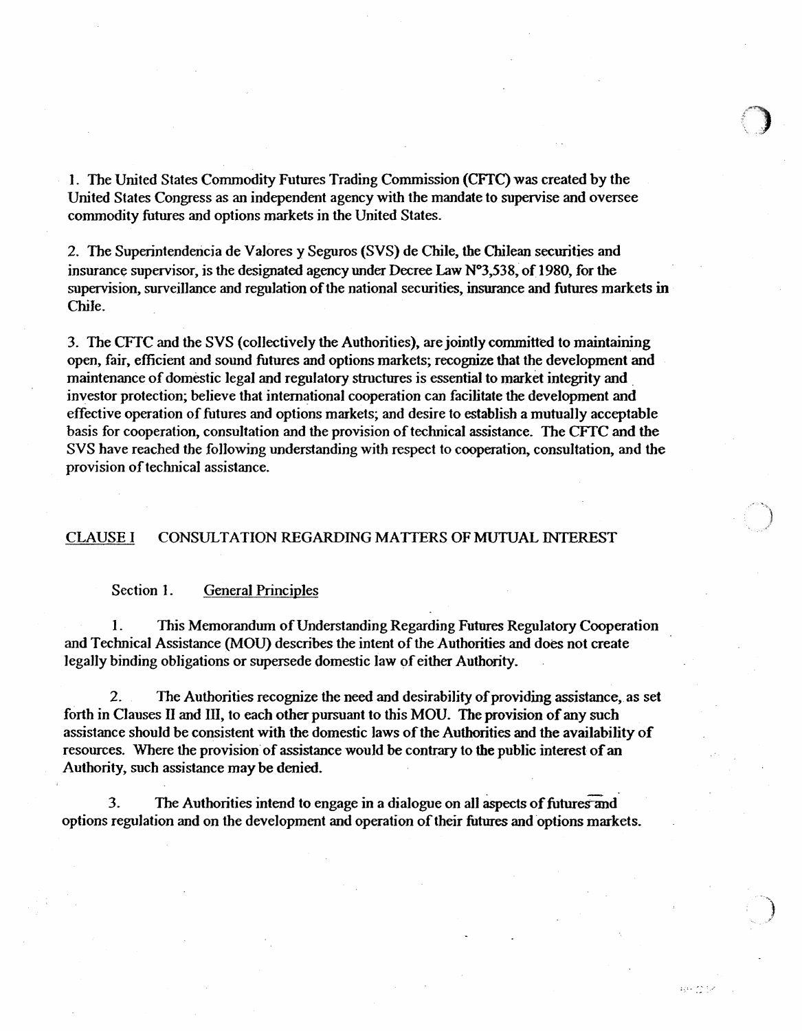l. The United States Commodity Futures Trading Commission (CFfC) was created by the United States Congress as an independent agency with the mandate to supervise and oversee commodity futures and options markets in the United States.

2. The Superintendencia de Valores y Seguros (SVS) de Chile, the Chilean securities and insurance supervisor, is the designated agency under Decree Law  $N^{\circ}3,538$ , of 1980, for the supervision, surveilJance and regulation of the national securities, insurance and futures markets in Chile.

3. The CFfC and the SVS (colJectively the Authorities), are jointly committed to maintaining open, fair, efficient and sound futures and options markets; recognize that the development and maintenance of domestic legal and regulatory structures is essential to market integrity and . investor protection; believe that international cooperation can facilitate the development and effective operation of futures and options markets; and desire to establish a mutually acceptable basis for cooperation, consultation and the provision of technical assistance. The CFfC and the SVS have reached the fo1lowing understanding with respect to cooperation, consultation, and the provision of technical assistance.

## CLAUSE 1 CONSULTATION REGARDING MA TIERS OF MUTUAL INTEREST

## Section I. General Principles

1. This Memorandum ofUnderstanding Regarding Futures Regulatory Cooperation and Technical Assistance (MOU) describes the intent of the Authorities and does not create lega1ly binding obligations or supersede domestic law of either Authority.

2. The Authorities recognize the need and desirability of providing assistance, as set forth in Clauses II and III, to each other pursuant to this MOU. The provision of any such assistance should be consistent with the domestic Jaws of the Authorities and the availability of resources. Where the provision of assistance would be contrary to the public interest of an Authority, such assistance may be denied.

3. The Authorities intend to engage in a dialogue on all aspects of futures and options regulation and on the development and operation of their futures and options markets.

ages into the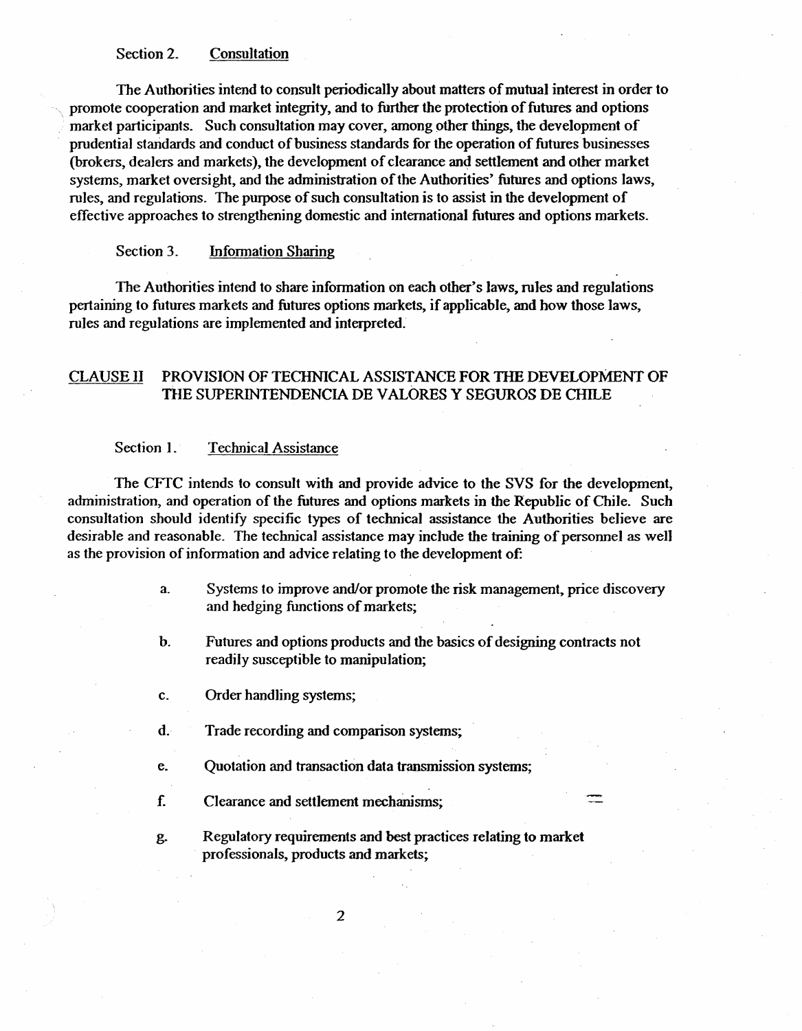## Section 2. Consultation

The Authorities intend to consult periodica1ly about matters of mutual interest in order to promote cooperation and market integrity, and to further the protection of futures and options market participants. Such consultation may cover, among pther things, the development of prudential standards and conduct of business standards for the operation of futures businesses (brokers, dealers and markets), the development of clearance and settlement and other market systems, market oversight, and the administration of the Authorities' futures and options laws, rules, and regulations. The purpose of such consultation is to assist in the development of effective approaches to strengthening domestic and international futures and options markets.

## Section 3. Information Sharing

The Authorities intend to share information on each other's laws, rules and regulations pertaining to futures markets and futures options markets, if applicable, and how those Jaws, rules and regulations are implemented and interpreted.

## CLAUSE li PROVISION OF TECHNICAL ASSISTANCE FOR TilE DEVELOPMENT OF THE SUPERINTENDENCIA DE VALORES Y SEGUROS DE CHILE

## Section 1. Technical Assistance

The CFfC intends to consult with and provide advice to the SVS for the development, administration, and operation of the futures and options markets in the Republic of Chile. Such consultation should identify specific types of technical assistance the Authorities believe are desirable and reasonable. The technical assistance may include the training of personnel as well as the provision of information and advice relating to the development of:

- a. Systems to improve and/or promote the risk management, price discovery and hedging fimctions of markets;
- b. Futures and options products and the basics of designing contracts not readily susceptible to manipulation;

c. Order handling systems;

- d. Trade recording and comparison systems;
- e. Quotation and transaction data transmission systems;
- f.. Clearance and settlement mechamsms;
- g. Regulatory requirements and best practices relating to market professionals, products and markets;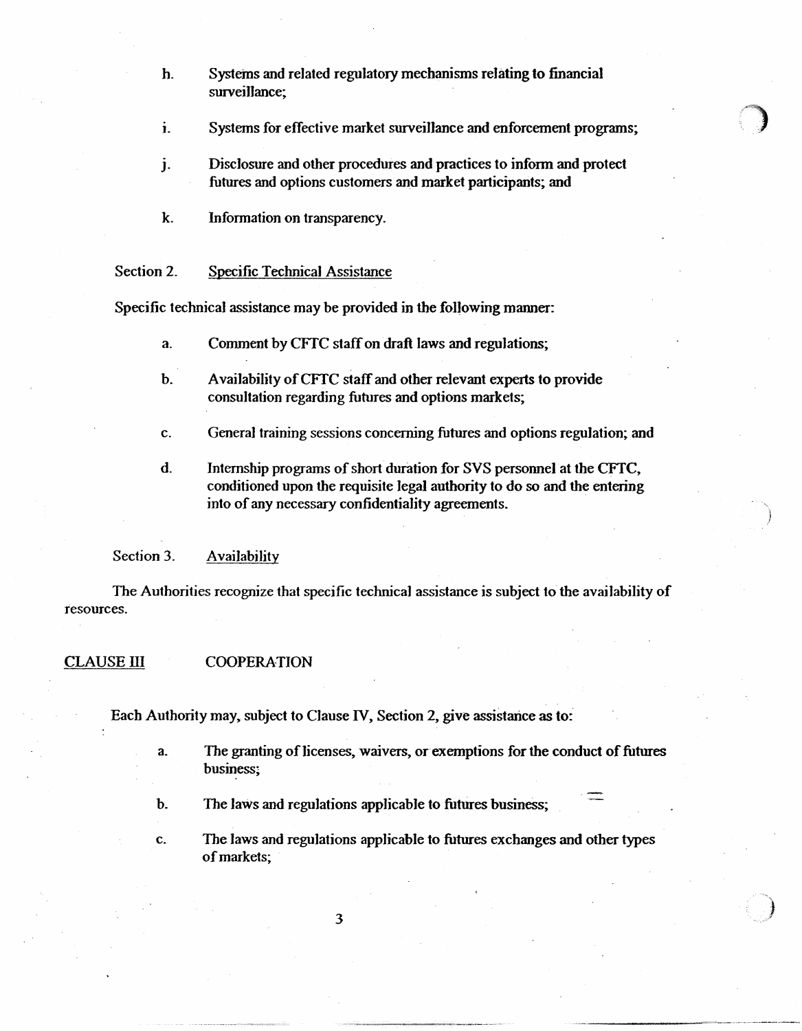h. Systems and related regulatory mechanisms relating to financial surveillance;

- ). Systems for effective market survei1Jance and enforcement programs;
- J. Disclosure and other procedures and practices to inform and protect futures and options customers and market participants; and
- k. Information on transparency.

#### Section 2. Specific Technical Assistance

Specific technical assistance may be provided in the following manner:

- a. Connnent by CFfC staff on draft laws and regulations;
- b. Availability of CFfC staff and other relevant experts to provide consultation regarding futures and options markets;
- c. Genera] training sessions concerning futures and options regulation; and
- d. Internship programs of short duration for SVS personnel at the CFfC, conditioned upon the requisite legal authority to do so and the entering into of any necessary confidentiality agreements.

Section 3. Availability

The Authorities recognize that specific technical assistance is subject to the availability of resources.

#### CLAUSE III COOPERATION

Each Authority may, subject to Clause IV, Section 2, give assistance as to:

- a. The granting of licenses, waivers, or exemptions for the conduct of futures business;
- b. The laws and regulations applicable to futures business;
- c. The laws and regulations applicable to futures exchanges and other types of markets;

3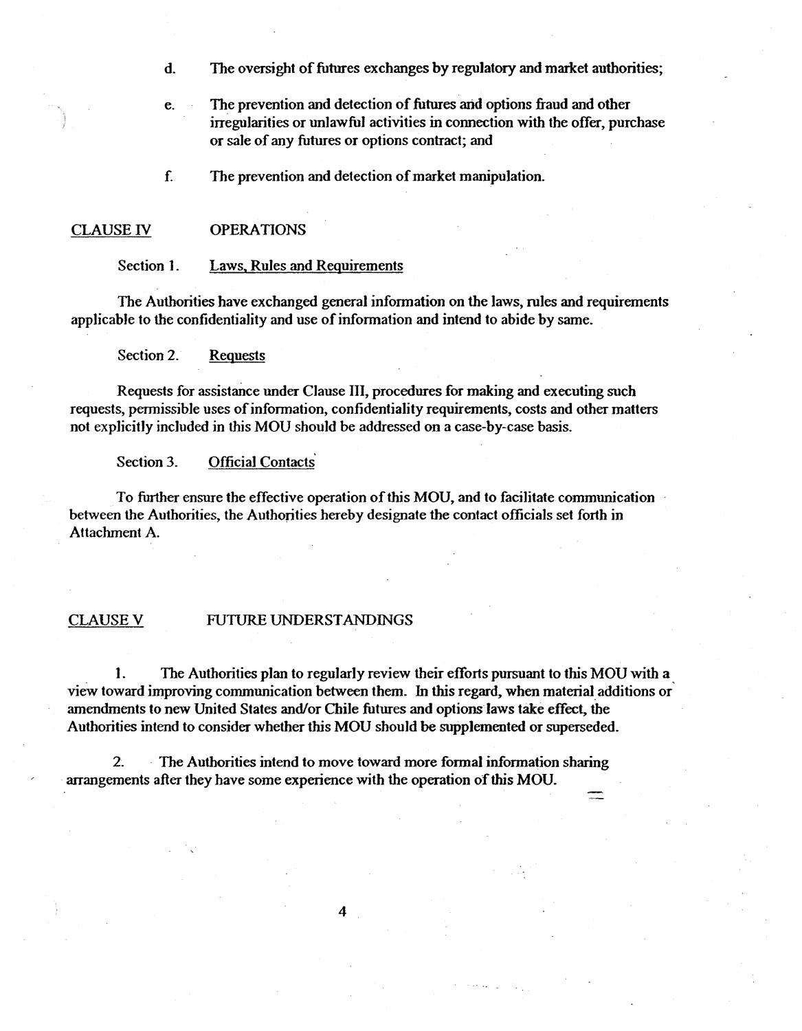- d. The oversight of futures exchanges by regulatory and market authorities;
- e. The prevention and detection of futures and options fraud and other irregularities or unlawful activities in comection with the offer, purchase or sale of any futures or options contract; and
- f. The prevention and detection of market manipulation.

#### CLAUSE IV OPERATIONS

Section 1. Laws, Rules and Reguirements

The Authorities have exchanged general information on the laws, rules and requirements applicable to the confidentiality and use of information and intend to abide by same.

Section 2. Requests

Requests for assistance under Clause lll, procedures for making and executing such requests, permissible uses of information, confidentiality requirements, costs and other matters not explicitly incJuded in this MOU should be addressed on a case-by-case basis.

Section 3. Official Contacts

To further ensure the effective operation of this MOU, and to facilitate communication between the Authorities, the Authorities hereby designate the contact officials set forth in Attachment A.

#### CLAUSEV FUTURE UNDERSTANDINGS

1. The Authorities plan to regularly review their efforts pursuant to this MOU with a view toward improving communication between them. In this regard, when material additions or amendments to new United States and/or Chile futures and options laws take effect, the Authorities intend to consider whether this MOU should be supplemented or superseded.

2. - The Authorities intend to move toward more formal information sharing arrangements after they have some experience with the operation of this MOU.

4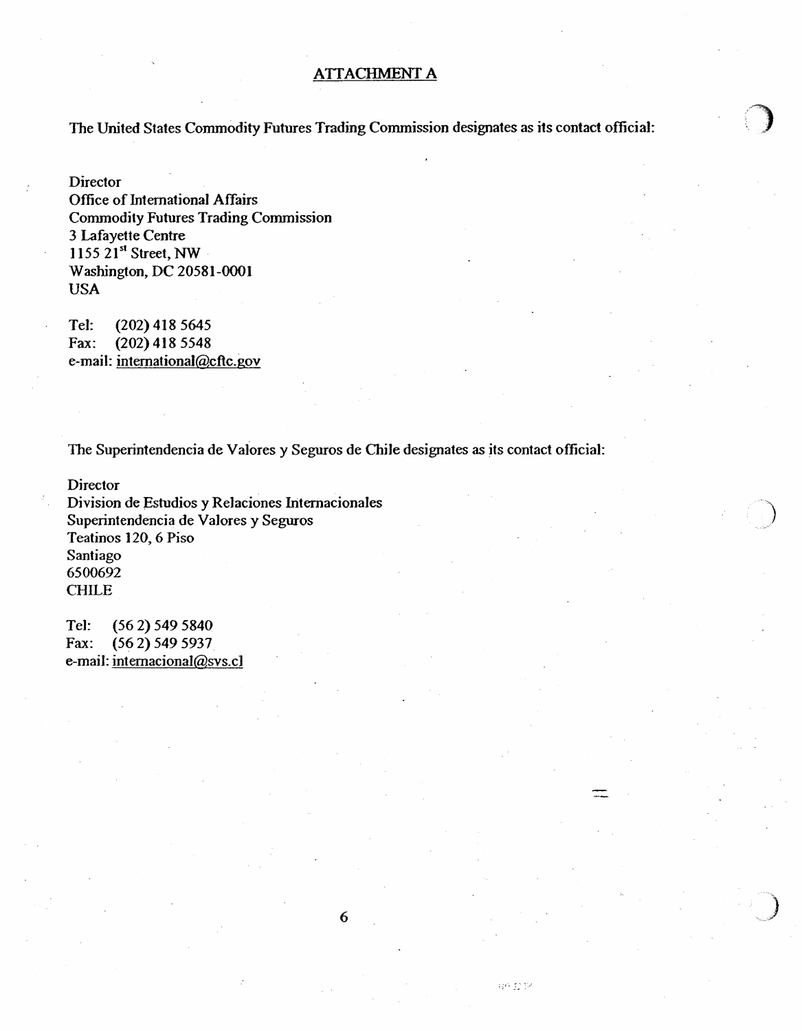## ATIACHMENT A

The United States Commodity Futures Trading Commission designates as its contact official:

**Director** Office of International Affairs Commodity Futures Trading Commission 3 Lafayette Centre 1155  $21<sup>st</sup>$  Street, NW Washington, DC 20581-0001 USA

Tel: (202) 418 5645 Fax: (202) 418 5548 e-mail: intemationaJ@cftc.gov

The Superintendencia de Vatores y Seguros de Chile designates as its contact official:

**Director** 

Division de Estudios y Relaciones Internacionales Superintendencia de VaJores y Seguros Teatinos 120, 6 Piso Santiago 6500692 CHILE

Tel: (56 2) 549 5840 Fax: (56 2) 549 5937 e-mail: intemaciona1@svs.c1

护套区